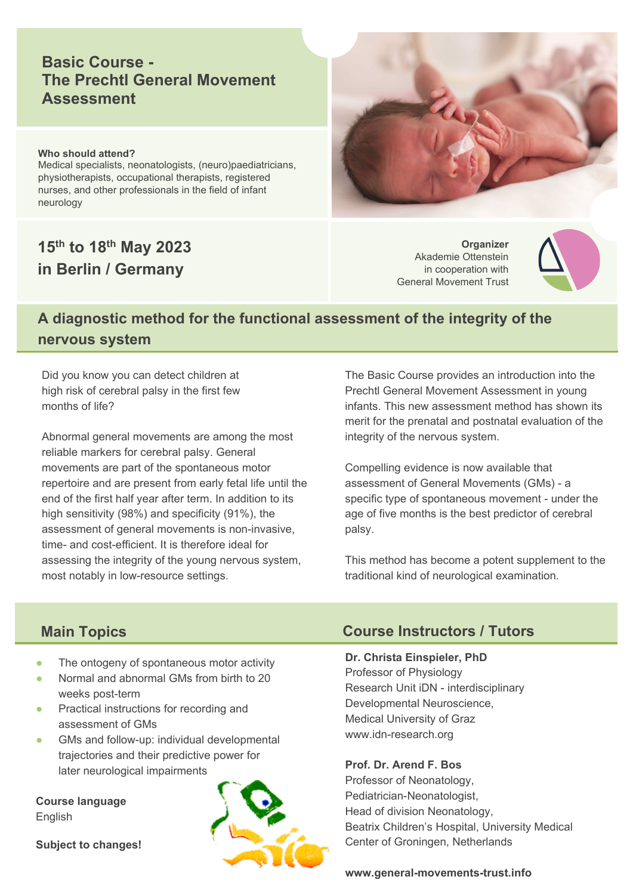# **Basic Course - The Prechtl General Movement Assessment**

#### **Who should attend?**

Medical specialists, neonatologists, (neuro)paediatricians, physiotherapists, occupational therapists, registered nurses, and other professionals in the field of infant neurology

# **15th to 18th May 2023 in Berlin / Germany**

**Organizer** Akademie Ottenstein in cooperation with General Movement Trust



# **A diagnostic method for the functional assessment of the integrity of the nervous system**

Did you know you can detect children at high risk of cerebral palsy in the first few months of life?

Abnormal general movements are among the most reliable markers for cerebral palsy. General movements are part of the spontaneous motor repertoire and are present from early fetal life until the end of the first half year after term. In addition to its high sensitivity (98%) and specificity (91%), the assessment of general movements is non-invasive, time- and cost-efficient. It is therefore ideal for assessing the integrity of the young nervous system, most notably in low-resource settings.

The Basic Course provides an introduction into the Prechtl General Movement Assessment in young infants. This new assessment method has shown its merit for the prenatal and postnatal evaluation of the integrity of the nervous system.

Compelling evidence is now available that assessment of General Movements (GMs) - a specific type of spontaneous movement - under the age of five months is the best predictor of cerebral palsy.

This method has become a potent supplement to the traditional kind of neurological examination.

## **Main Topics**

- The ontogeny of spontaneous motor activity
- Normal and abnormal GMs from birth to 20 weeks post-term
- Practical instructions for recording and assessment of GMs
- GMs and follow-up: individual developmental trajectories and their predictive power for later neurological impairments

**Course language** English

**Subject to changes!**



## **Course Instructors / Tutors**

#### **Dr. Christa Einspieler, PhD**

Professor of Physiology Research Unit iDN - interdisciplinary Developmental Neuroscience, Medical University of Graz www.idn-research.org

**Prof. Dr. Arend F. Bos**

Professor of Neonatology, Pediatrician-Neonatologist, Head of division Neonatology, Beatrix Children's Hospital, University Medical Center of Groningen, Netherlands

**www.general-movements-trust.info**